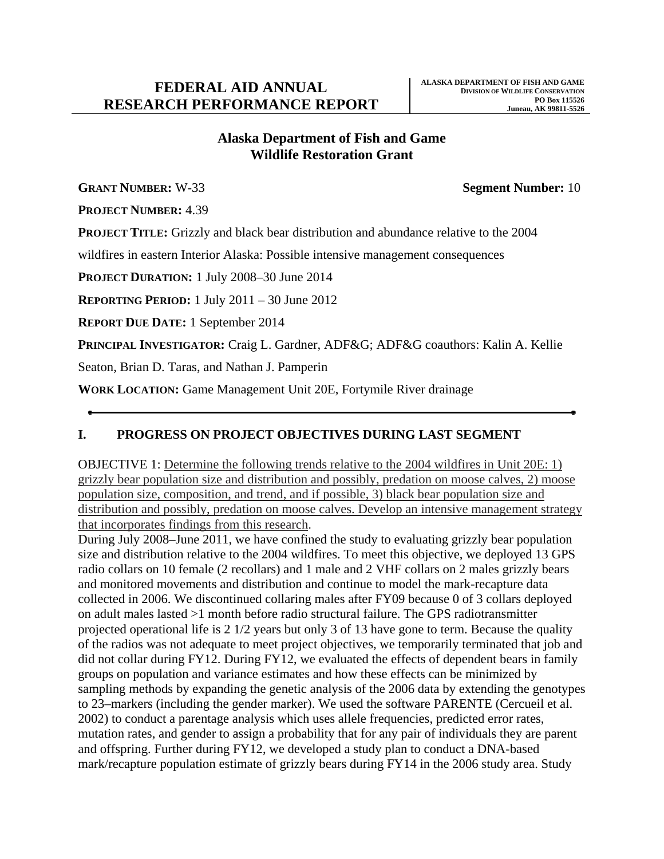# **Alaska Department of Fish and Game Wildlife Restoration Grant**

**GRANT NUMBER:** W-33 **Segment Number:** 10

**PROJECT NUMBER:** 4.39

**PROJECT TITLE:** Grizzly and black bear distribution and abundance relative to the 2004

wildfires in eastern Interior Alaska: Possible intensive management consequences

**PROJECT DURATION:** 1 July 2008–30 June 2014

**REPORTING PERIOD:** 1 July 2011 – 30 June 2012

**REPORT DUE DATE:** 1 September 2014

**PRINCIPAL INVESTIGATOR:** Craig L. Gardner, ADF&G; ADF&G coauthors: Kalin A. Kellie

Seaton, Brian D. Taras, and Nathan J. Pamperin

**WORK LOCATION:** Game Management Unit 20E, Fortymile River drainage

#### **I. PROGRESS ON PROJECT OBJECTIVES DURING LAST SEGMENT**

OBJECTIVE 1: Determine the following trends relative to the 2004 wildfires in Unit 20E: 1) grizzly bear population size and distribution and possibly, predation on moose calves, 2) moose population size, composition, and trend, and if possible, 3) black bear population size and distribution and possibly, predation on moose calves. Develop an intensive management strategy that incorporates findings from this research.

During July 2008–June 2011, we have confined the study to evaluating grizzly bear population size and distribution relative to the 2004 wildfires. To meet this objective, we deployed 13 GPS radio collars on 10 female (2 recollars) and 1 male and 2 VHF collars on 2 males grizzly bears and monitored movements and distribution and continue to model the mark-recapture data collected in 2006. We discontinued collaring males after FY09 because 0 of 3 collars deployed on adult males lasted >1 month before radio structural failure. The GPS radiotransmitter projected operational life is 2 1/2 years but only 3 of 13 have gone to term. Because the quality of the radios was not adequate to meet project objectives, we temporarily terminated that job and did not collar during FY12. During FY12, we evaluated the effects of dependent bears in family groups on population and variance estimates and how these effects can be minimized by sampling methods by expanding the genetic analysis of the 2006 data by extending the genotypes to 23–markers (including the gender marker). We used the software PARENTE (Cercueil et al. 2002) to conduct a parentage analysis which uses allele frequencies, predicted error rates, mutation rates, and gender to assign a probability that for any pair of individuals they are parent and offspring. Further during FY12, we developed a study plan to conduct a DNA-based mark/recapture population estimate of grizzly bears during FY14 in the 2006 study area. Study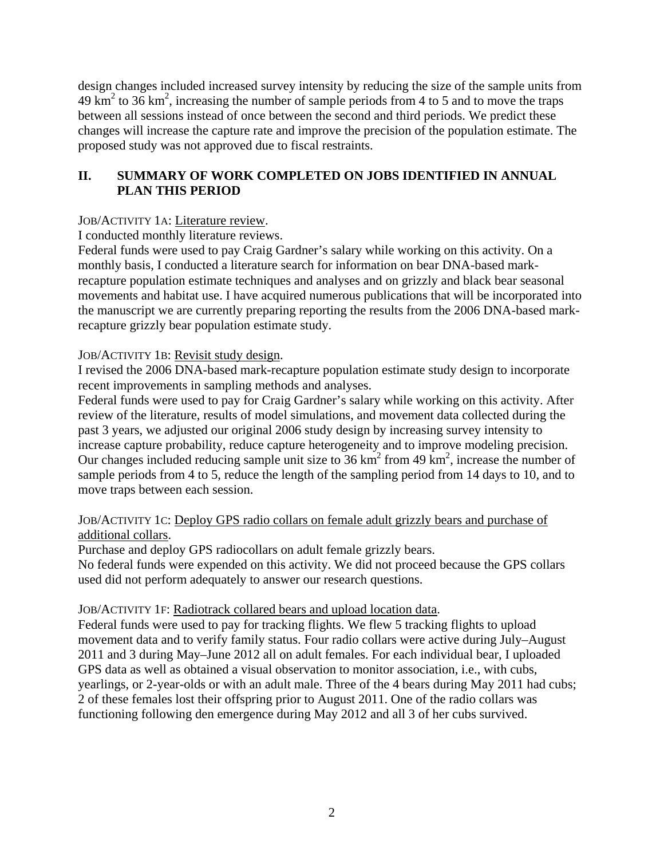design changes included increased survey intensity by reducing the size of the sample units from  $49 \text{ km}^2$  to  $36 \text{ km}^2$ , increasing the number of sample periods from 4 to 5 and to move the traps between all sessions instead of once between the second and third periods. We predict these changes will increase the capture rate and improve the precision of the population estimate. The proposed study was not approved due to fiscal restraints.

### **II. SUMMARY OF WORK COMPLETED ON JOBS IDENTIFIED IN ANNUAL PLAN THIS PERIOD**

### JOB/ACTIVITY 1A: Literature review.

I conducted monthly literature reviews.

Federal funds were used to pay Craig Gardner's salary while working on this activity. On a monthly basis, I conducted a literature search for information on bear DNA-based markrecapture population estimate techniques and analyses and on grizzly and black bear seasonal movements and habitat use. I have acquired numerous publications that will be incorporated into the manuscript we are currently preparing reporting the results from the 2006 DNA-based markrecapture grizzly bear population estimate study.

#### JOB/ACTIVITY 1B: Revisit study design.

I revised the 2006 DNA-based mark-recapture population estimate study design to incorporate recent improvements in sampling methods and analyses.

Federal funds were used to pay for Craig Gardner's salary while working on this activity. After review of the literature, results of model simulations, and movement data collected during the past 3 years, we adjusted our original 2006 study design by increasing survey intensity to increase capture probability, reduce capture heterogeneity and to improve modeling precision. Our changes included reducing sample unit size to  $36 \text{ km}^2$  from 49 km<sup>2</sup>, increase the number of sample periods from 4 to 5, reduce the length of the sampling period from 14 days to 10, and to move traps between each session.

#### JOB/ACTIVITY 1C: Deploy GPS radio collars on female adult grizzly bears and purchase of additional collars.

Purchase and deploy GPS radiocollars on adult female grizzly bears.

No federal funds were expended on this activity. We did not proceed because the GPS collars used did not perform adequately to answer our research questions.

#### JOB/ACTIVITY 1F: Radiotrack collared bears and upload location data.

Federal funds were used to pay for tracking flights. We flew 5 tracking flights to upload movement data and to verify family status. Four radio collars were active during July–August 2011 and 3 during May–June 2012 all on adult females. For each individual bear, I uploaded GPS data as well as obtained a visual observation to monitor association, i.e., with cubs, yearlings, or 2-year-olds or with an adult male. Three of the 4 bears during May 2011 had cubs; 2 of these females lost their offspring prior to August 2011. One of the radio collars was functioning following den emergence during May 2012 and all 3 of her cubs survived.